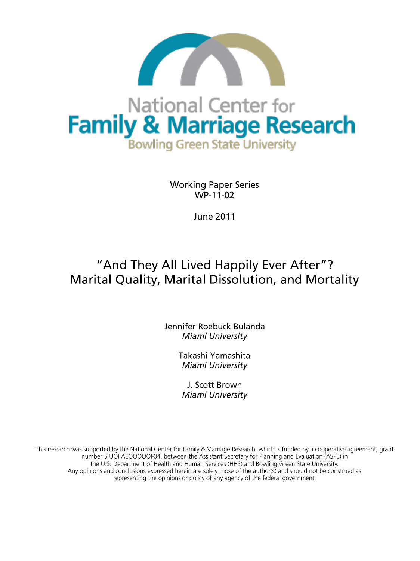

# National Center for **Family & Marriage Research Bowling Green State University**

**Working Paper Series**  $WP-11-02$ 

**June 2011** 

## "And They All Lived Happily Ever After"? Marital Quality, Marital Dissolution, and Mortality

Jennifer Roebuck Bulanda Miami University

> Takashi Yamashita Miami University

J. Scott Brown Miami University

This research was supported by the National Center for Family & Marriage Research, which is funded by a cooperative agreement, grant number 5 UOI AEOOOOOI-04, between the Assistant Secretary for Planning and Evaluation (ASPE) in the U.S. Department of Health and Human Services (HHS) and Bowling Green State University. Any opinions and conclusions expressed herein are solely those of the author(s) and should not be construed as representing the opinions or policy of any agency of the federal government.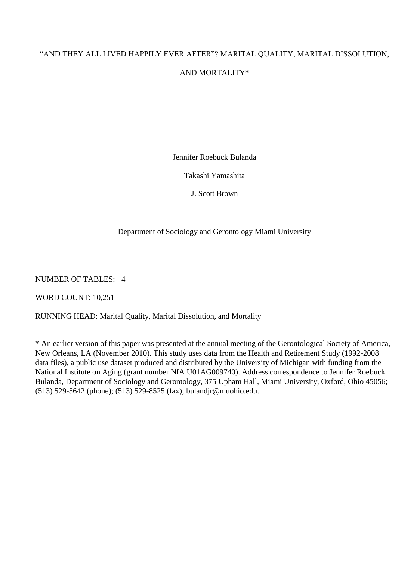### "AND THEY ALL LIVED HAPPILY EVER AFTER"? MARITAL QUALITY, MARITAL DISSOLUTION,

#### AND MORTALITY\*

Jennifer Roebuck Bulanda

Takashi Yamashita

J. Scott Brown

#### Department of Sociology and Gerontology Miami University

NUMBER OF TABLES: 4

WORD COUNT: 10,251

RUNNING HEAD: Marital Quality, Marital Dissolution, and Mortality

\* An earlier version of this paper was presented at the annual meeting of the Gerontological Society of America, New Orleans, LA (November 2010). This study uses data from the Health and Retirement Study (1992-2008 data files), a public use dataset produced and distributed by the University of Michigan with funding from the National Institute on Aging (grant number NIA U01AG009740). Address correspondence to Jennifer Roebuck Bulanda, Department of Sociology and Gerontology, 375 Upham Hall, Miami University, Oxford, Ohio 45056; (513) 529-5642 (phone); (513) 529-8525 (fax); bulandjr@muohio.edu.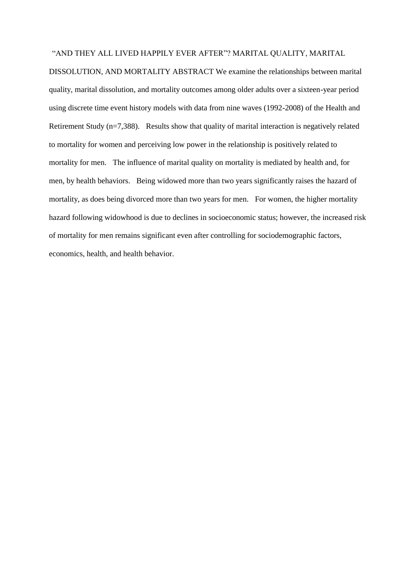#### "AND THEY ALL LIVED HAPPILY EVER AFTER"? MARITAL QUALITY, MARITAL

DISSOLUTION, AND MORTALITY ABSTRACT We examine the relationships between marital quality, marital dissolution, and mortality outcomes among older adults over a sixteen-year period using discrete time event history models with data from nine waves (1992-2008) of the Health and Retirement Study (n=7,388). Results show that quality of marital interaction is negatively related to mortality for women and perceiving low power in the relationship is positively related to mortality for men. The influence of marital quality on mortality is mediated by health and, for men, by health behaviors. Being widowed more than two years significantly raises the hazard of mortality, as does being divorced more than two years for men. For women, the higher mortality hazard following widowhood is due to declines in socioeconomic status; however, the increased risk of mortality for men remains significant even after controlling for sociodemographic factors, economics, health, and health behavior.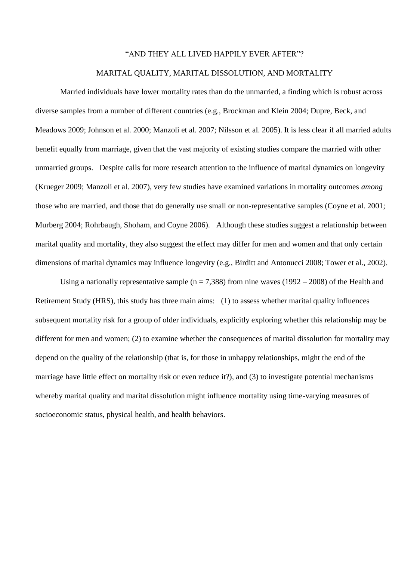#### "AND THEY ALL LIVED HAPPILY EVER AFTER"?

#### MARITAL QUALITY, MARITAL DISSOLUTION, AND MORTALITY

Married individuals have lower mortality rates than do the unmarried, a finding which is robust across diverse samples from a number of different countries (e.g., Brockman and Klein 2004; Dupre, Beck, and Meadows 2009; Johnson et al. 2000; Manzoli et al. 2007; Nilsson et al. 2005). It is less clear if all married adults benefit equally from marriage, given that the vast majority of existing studies compare the married with other unmarried groups. Despite calls for more research attention to the influence of marital dynamics on longevity (Krueger 2009; Manzoli et al. 2007), very few studies have examined variations in mortality outcomes *among*  those who are married, and those that do generally use small or non-representative samples (Coyne et al. 2001; Murberg 2004; Rohrbaugh, Shoham, and Coyne 2006). Although these studies suggest a relationship between marital quality and mortality, they also suggest the effect may differ for men and women and that only certain dimensions of marital dynamics may influence longevity (e.g., Birditt and Antonucci 2008; Tower et al., 2002).

Using a nationally representative sample ( $n = 7,388$ ) from nine waves (1992 – 2008) of the Health and Retirement Study (HRS), this study has three main aims: (1) to assess whether marital quality influences subsequent mortality risk for a group of older individuals, explicitly exploring whether this relationship may be different for men and women; (2) to examine whether the consequences of marital dissolution for mortality may depend on the quality of the relationship (that is, for those in unhappy relationships, might the end of the marriage have little effect on mortality risk or even reduce it?), and (3) to investigate potential mechanisms whereby marital quality and marital dissolution might influence mortality using time-varying measures of socioeconomic status, physical health, and health behaviors.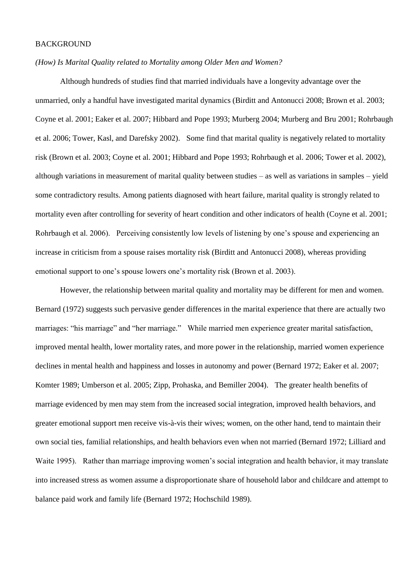#### BACKGROUND

#### *(How) Is Marital Quality related to Mortality among Older Men and Women?*

Although hundreds of studies find that married individuals have a longevity advantage over the unmarried, only a handful have investigated marital dynamics (Birditt and Antonucci 2008; Brown et al. 2003; Coyne et al. 2001; Eaker et al. 2007; Hibbard and Pope 1993; Murberg 2004; Murberg and Bru 2001; Rohrbaugh et al. 2006; Tower, Kasl, and Darefsky 2002). Some find that marital quality is negatively related to mortality risk (Brown et al. 2003; Coyne et al. 2001; Hibbard and Pope 1993; Rohrbaugh et al. 2006; Tower et al. 2002), although variations in measurement of marital quality between studies – as well as variations in samples – yield some contradictory results. Among patients diagnosed with heart failure, marital quality is strongly related to mortality even after controlling for severity of heart condition and other indicators of health (Coyne et al. 2001; Rohrbaugh et al. 2006). Perceiving consistently low levels of listening by one"s spouse and experiencing an increase in criticism from a spouse raises mortality risk (Birditt and Antonucci 2008), whereas providing emotional support to one"s spouse lowers one"s mortality risk (Brown et al. 2003).

However, the relationship between marital quality and mortality may be different for men and women. Bernard (1972) suggests such pervasive gender differences in the marital experience that there are actually two marriages: "his marriage" and "her marriage." While married men experience greater marital satisfaction, improved mental health, lower mortality rates, and more power in the relationship, married women experience declines in mental health and happiness and losses in autonomy and power (Bernard 1972; Eaker et al. 2007; Komter 1989; Umberson et al. 2005; Zipp, Prohaska, and Bemiller 2004). The greater health benefits of marriage evidenced by men may stem from the increased social integration, improved health behaviors, and greater emotional support men receive vis-à-vis their wives; women, on the other hand, tend to maintain their own social ties, familial relationships, and health behaviors even when not married (Bernard 1972; Lilliard and Waite 1995). Rather than marriage improving women's social integration and health behavior, it may translate into increased stress as women assume a disproportionate share of household labor and childcare and attempt to balance paid work and family life (Bernard 1972; Hochschild 1989).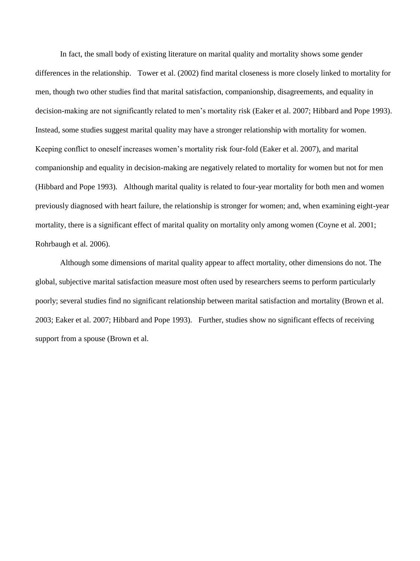In fact, the small body of existing literature on marital quality and mortality shows some gender differences in the relationship. Tower et al. (2002) find marital closeness is more closely linked to mortality for men, though two other studies find that marital satisfaction, companionship, disagreements, and equality in decision-making are not significantly related to men"s mortality risk (Eaker et al. 2007; Hibbard and Pope 1993). Instead, some studies suggest marital quality may have a stronger relationship with mortality for women. Keeping conflict to oneself increases women"s mortality risk four-fold (Eaker et al. 2007), and marital companionship and equality in decision-making are negatively related to mortality for women but not for men (Hibbard and Pope 1993). Although marital quality is related to four-year mortality for both men and women previously diagnosed with heart failure, the relationship is stronger for women; and, when examining eight-year mortality, there is a significant effect of marital quality on mortality only among women (Coyne et al. 2001; Rohrbaugh et al. 2006).

Although some dimensions of marital quality appear to affect mortality, other dimensions do not. The global, subjective marital satisfaction measure most often used by researchers seems to perform particularly poorly; several studies find no significant relationship between marital satisfaction and mortality (Brown et al. 2003; Eaker et al. 2007; Hibbard and Pope 1993). Further, studies show no significant effects of receiving support from a spouse (Brown et al.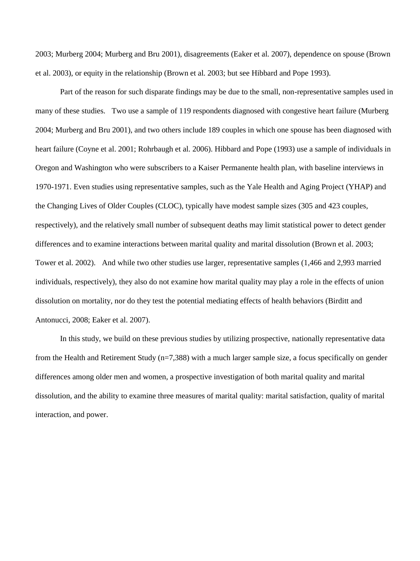2003; Murberg 2004; Murberg and Bru 2001), disagreements (Eaker et al. 2007), dependence on spouse (Brown et al. 2003), or equity in the relationship (Brown et al. 2003; but see Hibbard and Pope 1993).

Part of the reason for such disparate findings may be due to the small, non-representative samples used in many of these studies. Two use a sample of 119 respondents diagnosed with congestive heart failure (Murberg 2004; Murberg and Bru 2001), and two others include 189 couples in which one spouse has been diagnosed with heart failure (Coyne et al. 2001; Rohrbaugh et al. 2006). Hibbard and Pope (1993) use a sample of individuals in Oregon and Washington who were subscribers to a Kaiser Permanente health plan, with baseline interviews in 1970-1971. Even studies using representative samples, such as the Yale Health and Aging Project (YHAP) and the Changing Lives of Older Couples (CLOC), typically have modest sample sizes (305 and 423 couples, respectively), and the relatively small number of subsequent deaths may limit statistical power to detect gender differences and to examine interactions between marital quality and marital dissolution (Brown et al. 2003; Tower et al. 2002). And while two other studies use larger, representative samples (1,466 and 2,993 married individuals, respectively), they also do not examine how marital quality may play a role in the effects of union dissolution on mortality, nor do they test the potential mediating effects of health behaviors (Birditt and Antonucci, 2008; Eaker et al. 2007).

In this study, we build on these previous studies by utilizing prospective, nationally representative data from the Health and Retirement Study (n=7,388) with a much larger sample size, a focus specifically on gender differences among older men and women, a prospective investigation of both marital quality and marital dissolution, and the ability to examine three measures of marital quality: marital satisfaction, quality of marital interaction, and power.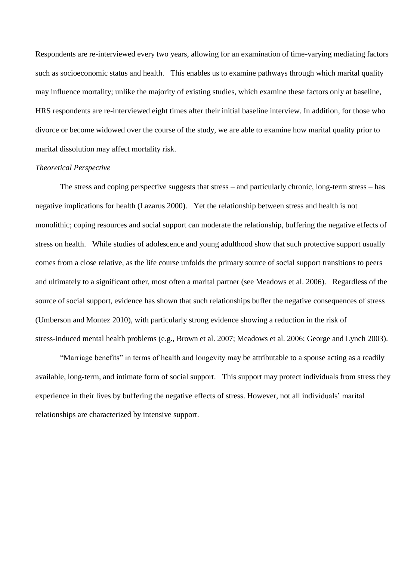Respondents are re-interviewed every two years, allowing for an examination of time-varying mediating factors such as socioeconomic status and health. This enables us to examine pathways through which marital quality may influence mortality; unlike the majority of existing studies, which examine these factors only at baseline, HRS respondents are re-interviewed eight times after their initial baseline interview. In addition, for those who divorce or become widowed over the course of the study, we are able to examine how marital quality prior to marital dissolution may affect mortality risk.

#### *Theoretical Perspective*

The stress and coping perspective suggests that stress – and particularly chronic, long-term stress – has negative implications for health (Lazarus 2000). Yet the relationship between stress and health is not monolithic; coping resources and social support can moderate the relationship, buffering the negative effects of stress on health. While studies of adolescence and young adulthood show that such protective support usually comes from a close relative, as the life course unfolds the primary source of social support transitions to peers and ultimately to a significant other, most often a marital partner (see Meadows et al. 2006). Regardless of the source of social support, evidence has shown that such relationships buffer the negative consequences of stress (Umberson and Montez 2010), with particularly strong evidence showing a reduction in the risk of stress-induced mental health problems (e.g., Brown et al. 2007; Meadows et al. 2006; George and Lynch 2003).

"Marriage benefits" in terms of health and longevity may be attributable to a spouse acting as a readily available, long-term, and intimate form of social support. This support may protect individuals from stress they experience in their lives by buffering the negative effects of stress. However, not all individuals" marital relationships are characterized by intensive support.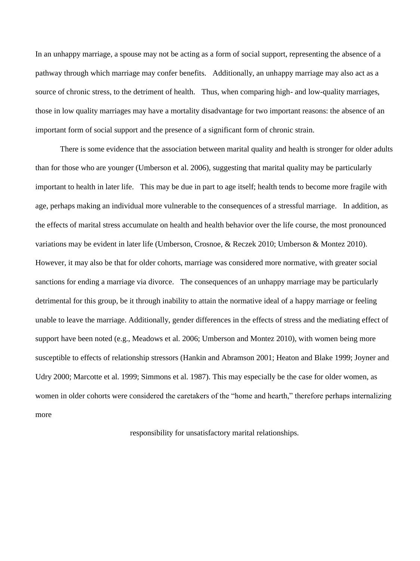In an unhappy marriage, a spouse may not be acting as a form of social support, representing the absence of a pathway through which marriage may confer benefits. Additionally, an unhappy marriage may also act as a source of chronic stress, to the detriment of health. Thus, when comparing high- and low-quality marriages, those in low quality marriages may have a mortality disadvantage for two important reasons: the absence of an important form of social support and the presence of a significant form of chronic strain.

There is some evidence that the association between marital quality and health is stronger for older adults than for those who are younger (Umberson et al. 2006), suggesting that marital quality may be particularly important to health in later life. This may be due in part to age itself; health tends to become more fragile with age, perhaps making an individual more vulnerable to the consequences of a stressful marriage. In addition, as the effects of marital stress accumulate on health and health behavior over the life course, the most pronounced variations may be evident in later life (Umberson, Crosnoe, & Reczek 2010; Umberson & Montez 2010). However, it may also be that for older cohorts, marriage was considered more normative, with greater social sanctions for ending a marriage via divorce. The consequences of an unhappy marriage may be particularly detrimental for this group, be it through inability to attain the normative ideal of a happy marriage or feeling unable to leave the marriage. Additionally, gender differences in the effects of stress and the mediating effect of support have been noted (e.g., Meadows et al. 2006; Umberson and Montez 2010), with women being more susceptible to effects of relationship stressors (Hankin and Abramson 2001; Heaton and Blake 1999; Joyner and Udry 2000; Marcotte et al. 1999; Simmons et al. 1987). This may especially be the case for older women, as women in older cohorts were considered the caretakers of the "home and hearth," therefore perhaps internalizing more

responsibility for unsatisfactory marital relationships.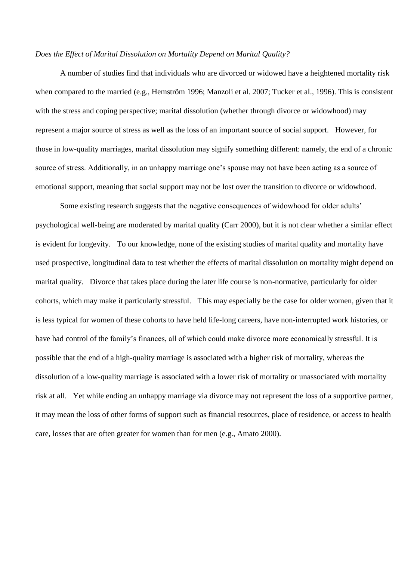#### *Does the Effect of Marital Dissolution on Mortality Depend on Marital Quality?*

A number of studies find that individuals who are divorced or widowed have a heightened mortality risk when compared to the married (e.g., Hemström 1996; Manzoli et al. 2007; Tucker et al., 1996). This is consistent with the stress and coping perspective; marital dissolution (whether through divorce or widowhood) may represent a major source of stress as well as the loss of an important source of social support. However, for those in low-quality marriages, marital dissolution may signify something different: namely, the end of a chronic source of stress. Additionally, in an unhappy marriage one's spouse may not have been acting as a source of emotional support, meaning that social support may not be lost over the transition to divorce or widowhood.

Some existing research suggests that the negative consequences of widowhood for older adults' psychological well-being are moderated by marital quality (Carr 2000), but it is not clear whether a similar effect is evident for longevity. To our knowledge, none of the existing studies of marital quality and mortality have used prospective, longitudinal data to test whether the effects of marital dissolution on mortality might depend on marital quality. Divorce that takes place during the later life course is non-normative, particularly for older cohorts, which may make it particularly stressful. This may especially be the case for older women, given that it is less typical for women of these cohorts to have held life-long careers, have non-interrupted work histories, or have had control of the family"s finances, all of which could make divorce more economically stressful. It is possible that the end of a high-quality marriage is associated with a higher risk of mortality, whereas the dissolution of a low-quality marriage is associated with a lower risk of mortality or unassociated with mortality risk at all. Yet while ending an unhappy marriage via divorce may not represent the loss of a supportive partner, it may mean the loss of other forms of support such as financial resources, place of residence, or access to health care, losses that are often greater for women than for men (e.g., Amato 2000).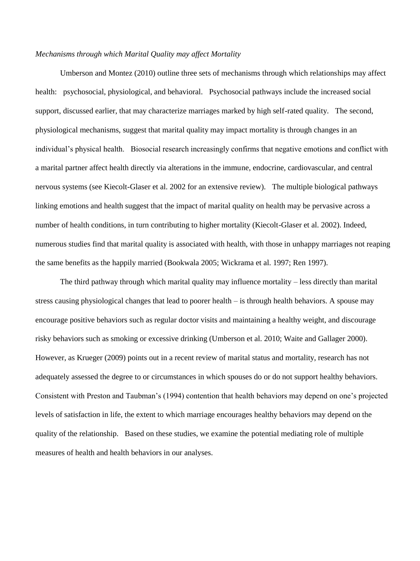#### *Mechanisms through which Marital Quality may affect Mortality*

Umberson and Montez (2010) outline three sets of mechanisms through which relationships may affect health: psychosocial, physiological, and behavioral. Psychosocial pathways include the increased social support, discussed earlier, that may characterize marriages marked by high self-rated quality. The second, physiological mechanisms, suggest that marital quality may impact mortality is through changes in an individual"s physical health. Biosocial research increasingly confirms that negative emotions and conflict with a marital partner affect health directly via alterations in the immune, endocrine, cardiovascular, and central nervous systems (see Kiecolt-Glaser et al. 2002 for an extensive review). The multiple biological pathways linking emotions and health suggest that the impact of marital quality on health may be pervasive across a number of health conditions, in turn contributing to higher mortality (Kiecolt-Glaser et al. 2002). Indeed, numerous studies find that marital quality is associated with health, with those in unhappy marriages not reaping the same benefits as the happily married (Bookwala 2005; Wickrama et al. 1997; Ren 1997).

The third pathway through which marital quality may influence mortality – less directly than marital stress causing physiological changes that lead to poorer health – is through health behaviors. A spouse may encourage positive behaviors such as regular doctor visits and maintaining a healthy weight, and discourage risky behaviors such as smoking or excessive drinking (Umberson et al. 2010; Waite and Gallager 2000). However, as Krueger (2009) points out in a recent review of marital status and mortality, research has not adequately assessed the degree to or circumstances in which spouses do or do not support healthy behaviors. Consistent with Preston and Taubman"s (1994) contention that health behaviors may depend on one"s projected levels of satisfaction in life, the extent to which marriage encourages healthy behaviors may depend on the quality of the relationship. Based on these studies, we examine the potential mediating role of multiple measures of health and health behaviors in our analyses.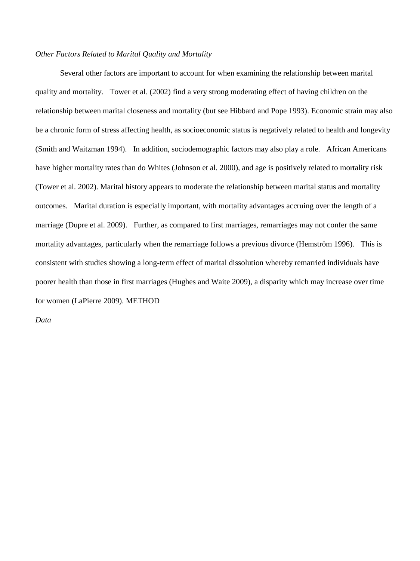#### *Other Factors Related to Marital Quality and Mortality*

Several other factors are important to account for when examining the relationship between marital quality and mortality. Tower et al. (2002) find a very strong moderating effect of having children on the relationship between marital closeness and mortality (but see Hibbard and Pope 1993). Economic strain may also be a chronic form of stress affecting health, as socioeconomic status is negatively related to health and longevity (Smith and Waitzman 1994). In addition, sociodemographic factors may also play a role. African Americans have higher mortality rates than do Whites (Johnson et al. 2000), and age is positively related to mortality risk (Tower et al. 2002). Marital history appears to moderate the relationship between marital status and mortality outcomes. Marital duration is especially important, with mortality advantages accruing over the length of a marriage (Dupre et al. 2009). Further, as compared to first marriages, remarriages may not confer the same mortality advantages, particularly when the remarriage follows a previous divorce (Hemström 1996). This is consistent with studies showing a long-term effect of marital dissolution whereby remarried individuals have poorer health than those in first marriages (Hughes and Waite 2009), a disparity which may increase over time for women (LaPierre 2009). METHOD

*Data*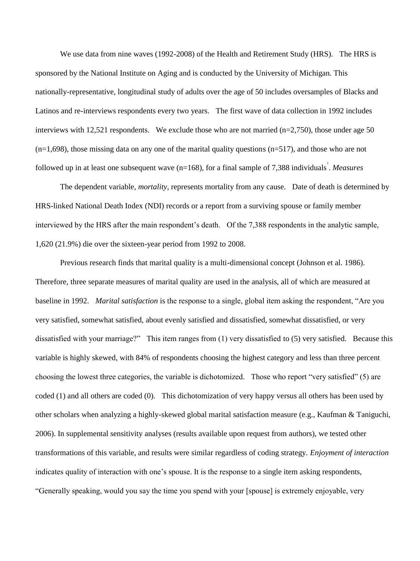We use data from nine waves (1992-2008) of the Health and Retirement Study (HRS). The HRS is sponsored by the National Institute on Aging and is conducted by the University of Michigan. This nationally-representative, longitudinal study of adults over the age of 50 includes oversamples of Blacks and Latinos and re-interviews respondents every two years. The first wave of data collection in 1992 includes interviews with 12,521 respondents. We exclude those who are not married (n=2,750), those under age 50  $(n=1,698)$ , those missing data on any one of the marital quality questions  $(n=517)$ , and those who are not followed up in at least one subsequent wave (n=168), for a final sample of 7,388 individuals 1 . *Measures* 

The dependent variable, *mortality*, represents mortality from any cause. Date of death is determined by HRS-linked National Death Index (NDI) records or a report from a surviving spouse or family member interviewed by the HRS after the main respondent's death. Of the 7,388 respondents in the analytic sample, 1,620 (21.9%) die over the sixteen-year period from 1992 to 2008.

Previous research finds that marital quality is a multi-dimensional concept (Johnson et al. 1986). Therefore, three separate measures of marital quality are used in the analysis, all of which are measured at baseline in 1992. *Marital satisfaction* is the response to a single, global item asking the respondent, "Are you very satisfied, somewhat satisfied, about evenly satisfied and dissatisfied, somewhat dissatisfied, or very dissatisfied with your marriage?" This item ranges from (1) very dissatisfied to (5) very satisfied. Because this variable is highly skewed, with 84% of respondents choosing the highest category and less than three percent choosing the lowest three categories, the variable is dichotomized. Those who report "very satisfied" (5) are coded (1) and all others are coded (0). This dichotomization of very happy versus all others has been used by other scholars when analyzing a highly-skewed global marital satisfaction measure (e.g., Kaufman & Taniguchi, 2006). In supplemental sensitivity analyses (results available upon request from authors), we tested other transformations of this variable, and results were similar regardless of coding strategy. *Enjoyment of interaction* indicates quality of interaction with one"s spouse. It is the response to a single item asking respondents, "Generally speaking, would you say the time you spend with your [spouse] is extremely enjoyable, very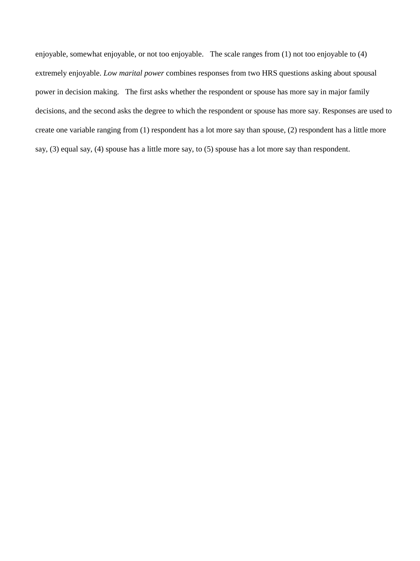enjoyable, somewhat enjoyable, or not too enjoyable. The scale ranges from (1) not too enjoyable to (4) extremely enjoyable. *Low marital power* combines responses from two HRS questions asking about spousal power in decision making. The first asks whether the respondent or spouse has more say in major family decisions, and the second asks the degree to which the respondent or spouse has more say. Responses are used to create one variable ranging from (1) respondent has a lot more say than spouse, (2) respondent has a little more say, (3) equal say, (4) spouse has a little more say, to (5) spouse has a lot more say than respondent.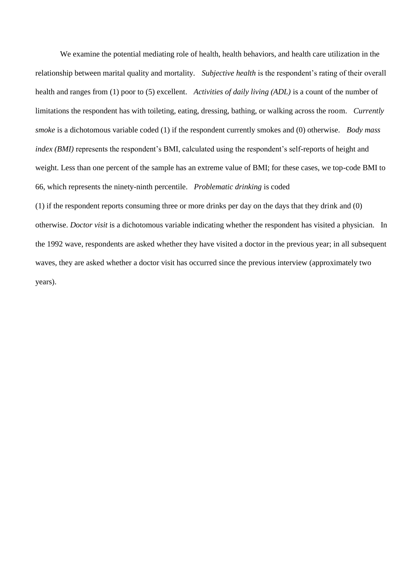We examine the potential mediating role of health, health behaviors, and health care utilization in the relationship between marital quality and mortality. *Subjective health* is the respondent"s rating of their overall health and ranges from (1) poor to (5) excellent. *Activities of daily living (ADL)* is a count of the number of limitations the respondent has with toileting, eating, dressing, bathing, or walking across the room. *Currently smoke* is a dichotomous variable coded (1) if the respondent currently smokes and (0) otherwise. *Body mass index (BMI)* represents the respondent's BMI, calculated using the respondent's self-reports of height and weight. Less than one percent of the sample has an extreme value of BMI; for these cases, we top-code BMI to 66, which represents the ninety-ninth percentile. *Problematic drinking* is coded

(1) if the respondent reports consuming three or more drinks per day on the days that they drink and (0) otherwise. *Doctor visit* is a dichotomous variable indicating whether the respondent has visited a physician. In the 1992 wave, respondents are asked whether they have visited a doctor in the previous year; in all subsequent waves, they are asked whether a doctor visit has occurred since the previous interview (approximately two years).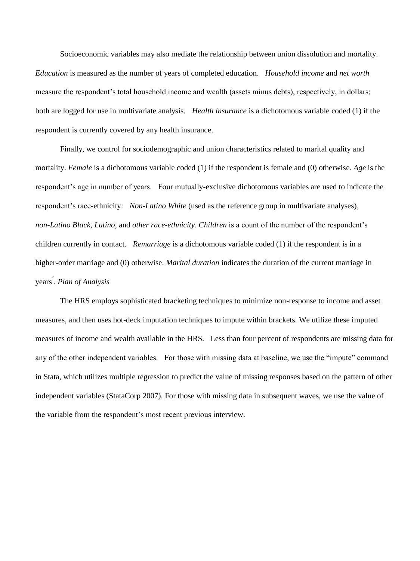Socioeconomic variables may also mediate the relationship between union dissolution and mortality. *Education* is measured as the number of years of completed education. *Household income* and *net worth* measure the respondent's total household income and wealth (assets minus debts), respectively, in dollars; both are logged for use in multivariate analysis. *Health insurance* is a dichotomous variable coded (1) if the respondent is currently covered by any health insurance.

Finally, we control for sociodemographic and union characteristics related to marital quality and mortality. *Female* is a dichotomous variable coded (1) if the respondent is female and (0) otherwise. *Age* is the respondent"s age in number of years. Four mutually-exclusive dichotomous variables are used to indicate the respondent"s race-ethnicity: *Non-Latino White* (used as the reference group in multivariate analyses)*, non-Latino Black, Latino,* and *other race-ethnicity*. *Children* is a count of the number of the respondent"s children currently in contact. *Remarriage* is a dichotomous variable coded (1) if the respondent is in a higher-order marriage and (0) otherwise. *Marital duration* indicates the duration of the current marriage in years 2 . *Plan of Analysis* 

The HRS employs sophisticated bracketing techniques to minimize non-response to income and asset measures, and then uses hot-deck imputation techniques to impute within brackets. We utilize these imputed measures of income and wealth available in the HRS. Less than four percent of respondents are missing data for any of the other independent variables. For those with missing data at baseline, we use the "impute" command in Stata, which utilizes multiple regression to predict the value of missing responses based on the pattern of other independent variables (StataCorp 2007). For those with missing data in subsequent waves, we use the value of the variable from the respondent"s most recent previous interview.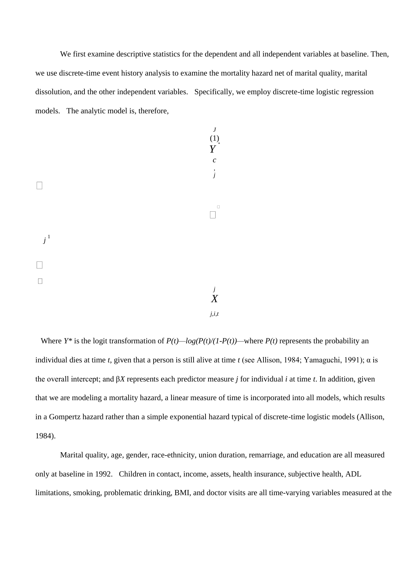We first examine descriptive statistics for the dependent and all independent variables at baseline. Then, we use discrete-time event history analysis to examine the mortality hazard net of marital quality, marital dissolution, and the other independent variables. Specifically, we employ discrete-time logistic regression models. The analytic model is, therefore,

*J*  (1) *Y*  \* *c* , *j j* 1 *j X j*,*i*,*t* 

Where *Y*<sup>\*</sup> is the logit transformation of  $P(t)$ —log( $P(t)/(1-P(t))$ —where  $P(t)$  represents the probability an individual dies at time *t*, given that a person is still alive at time *t* (see Allison, 1984; Yamaguchi, 1991); α is the overall intercept; and β*X* represents each predictor measure *j* for individual *i* at time *t*. In addition, given that we are modeling a mortality hazard, a linear measure of time is incorporated into all models, which results in a Gompertz hazard rather than a simple exponential hazard typical of discrete-time logistic models (Allison, 1984).

Marital quality, age, gender, race-ethnicity, union duration, remarriage, and education are all measured only at baseline in 1992. Children in contact, income, assets, health insurance, subjective health, ADL limitations, smoking, problematic drinking, BMI, and doctor visits are all time-varying variables measured at the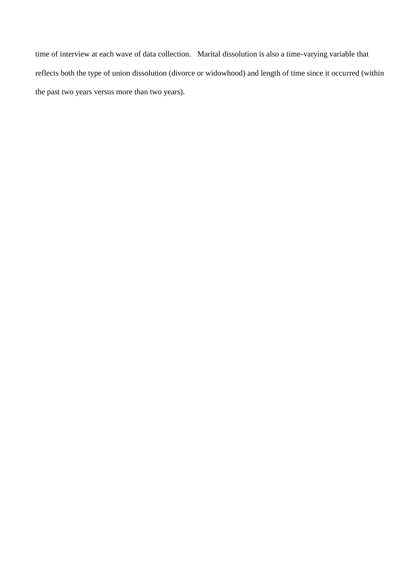time of interview at each wave of data collection. Marital dissolution is also a time-varying variable that reflects both the type of union dissolution (divorce or widowhood) and length of time since it occurred (within the past two years versus more than two years).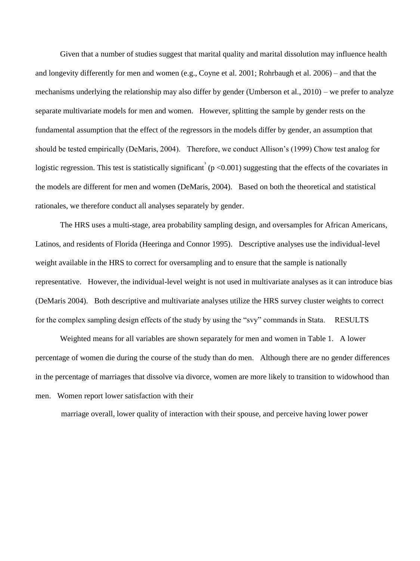Given that a number of studies suggest that marital quality and marital dissolution may influence health and longevity differently for men and women (e.g., Coyne et al. 2001; Rohrbaugh et al. 2006) – and that the mechanisms underlying the relationship may also differ by gender (Umberson et al., 2010) – we prefer to analyze separate multivariate models for men and women. However, splitting the sample by gender rests on the fundamental assumption that the effect of the regressors in the models differ by gender, an assumption that should be tested empirically (DeMaris, 2004). Therefore, we conduct Allison"s (1999) Chow test analog for logistic regression. This test is statistically significant  $(p<0.001)$  suggesting that the effects of the covariates in the models are different for men and women (DeMaris, 2004). Based on both the theoretical and statistical rationales, we therefore conduct all analyses separately by gender.

The HRS uses a multi-stage, area probability sampling design, and oversamples for African Americans, Latinos, and residents of Florida (Heeringa and Connor 1995). Descriptive analyses use the individual-level weight available in the HRS to correct for oversampling and to ensure that the sample is nationally representative. However, the individual-level weight is not used in multivariate analyses as it can introduce bias (DeMaris 2004). Both descriptive and multivariate analyses utilize the HRS survey cluster weights to correct for the complex sampling design effects of the study by using the "svy" commands in Stata. RESULTS

Weighted means for all variables are shown separately for men and women in Table 1. A lower percentage of women die during the course of the study than do men. Although there are no gender differences in the percentage of marriages that dissolve via divorce, women are more likely to transition to widowhood than men. Women report lower satisfaction with their

marriage overall, lower quality of interaction with their spouse, and perceive having lower power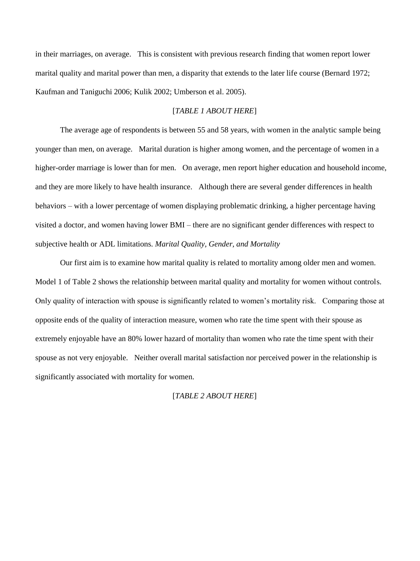in their marriages, on average. This is consistent with previous research finding that women report lower marital quality and marital power than men, a disparity that extends to the later life course (Bernard 1972; Kaufman and Taniguchi 2006; Kulik 2002; Umberson et al. 2005).

#### [*TABLE 1 ABOUT HERE*]

The average age of respondents is between 55 and 58 years, with women in the analytic sample being younger than men, on average. Marital duration is higher among women, and the percentage of women in a higher-order marriage is lower than for men. On average, men report higher education and household income, and they are more likely to have health insurance. Although there are several gender differences in health behaviors – with a lower percentage of women displaying problematic drinking, a higher percentage having visited a doctor, and women having lower BMI – there are no significant gender differences with respect to subjective health or ADL limitations. *Marital Quality, Gender, and Mortality* 

Our first aim is to examine how marital quality is related to mortality among older men and women. Model 1 of Table 2 shows the relationship between marital quality and mortality for women without controls. Only quality of interaction with spouse is significantly related to women"s mortality risk. Comparing those at opposite ends of the quality of interaction measure, women who rate the time spent with their spouse as extremely enjoyable have an 80% lower hazard of mortality than women who rate the time spent with their spouse as not very enjoyable. Neither overall marital satisfaction nor perceived power in the relationship is significantly associated with mortality for women.

#### [*TABLE 2 ABOUT HERE*]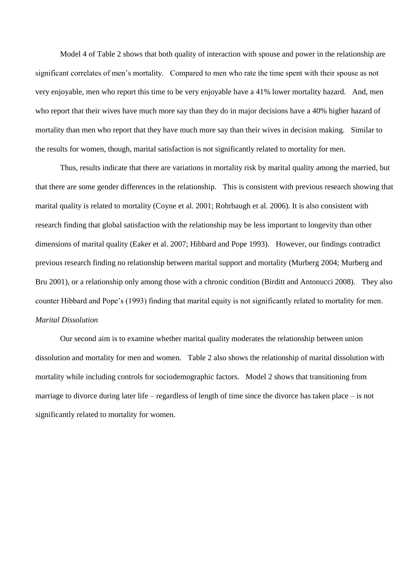Model 4 of Table 2 shows that both quality of interaction with spouse and power in the relationship are significant correlates of men"s mortality. Compared to men who rate the time spent with their spouse as not very enjoyable, men who report this time to be very enjoyable have a 41% lower mortality hazard. And, men who report that their wives have much more say than they do in major decisions have a 40% higher hazard of mortality than men who report that they have much more say than their wives in decision making. Similar to the results for women, though, marital satisfaction is not significantly related to mortality for men.

Thus, results indicate that there are variations in mortality risk by marital quality among the married, but that there are some gender differences in the relationship. This is consistent with previous research showing that marital quality is related to mortality (Coyne et al. 2001; Rohrbaugh et al. 2006). It is also consistent with research finding that global satisfaction with the relationship may be less important to longevity than other dimensions of marital quality (Eaker et al. 2007; Hibbard and Pope 1993). However, our findings contradict previous research finding no relationship between marital support and mortality (Murberg 2004; Murberg and Bru 2001), or a relationship only among those with a chronic condition (Birditt and Antonucci 2008). They also counter Hibbard and Pope"s (1993) finding that marital equity is not significantly related to mortality for men. *Marital Dissolution* 

Our second aim is to examine whether marital quality moderates the relationship between union dissolution and mortality for men and women. Table 2 also shows the relationship of marital dissolution with mortality while including controls for sociodemographic factors. Model 2 shows that transitioning from marriage to divorce during later life – regardless of length of time since the divorce has taken place – is not significantly related to mortality for women.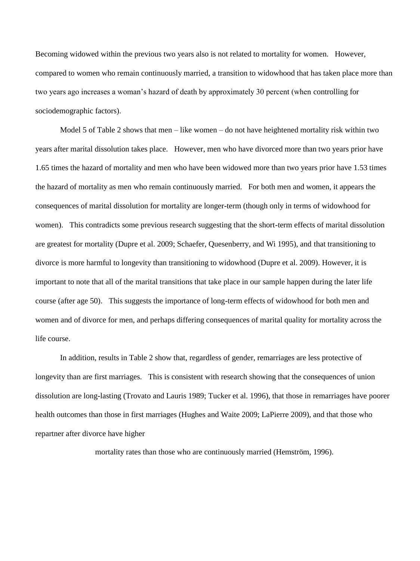Becoming widowed within the previous two years also is not related to mortality for women. However, compared to women who remain continuously married, a transition to widowhood that has taken place more than two years ago increases a woman"s hazard of death by approximately 30 percent (when controlling for sociodemographic factors).

Model 5 of Table 2 shows that men – like women – do not have heightened mortality risk within two years after marital dissolution takes place. However, men who have divorced more than two years prior have 1.65 times the hazard of mortality and men who have been widowed more than two years prior have 1.53 times the hazard of mortality as men who remain continuously married. For both men and women, it appears the consequences of marital dissolution for mortality are longer-term (though only in terms of widowhood for women). This contradicts some previous research suggesting that the short-term effects of marital dissolution are greatest for mortality (Dupre et al. 2009; Schaefer, Quesenberry, and Wi 1995), and that transitioning to divorce is more harmful to longevity than transitioning to widowhood (Dupre et al. 2009). However, it is important to note that all of the marital transitions that take place in our sample happen during the later life course (after age 50). This suggests the importance of long-term effects of widowhood for both men and women and of divorce for men, and perhaps differing consequences of marital quality for mortality across the life course.

In addition, results in Table 2 show that, regardless of gender, remarriages are less protective of longevity than are first marriages. This is consistent with research showing that the consequences of union dissolution are long-lasting (Trovato and Lauris 1989; Tucker et al. 1996), that those in remarriages have poorer health outcomes than those in first marriages (Hughes and Waite 2009; LaPierre 2009), and that those who repartner after divorce have higher

mortality rates than those who are continuously married (Hemström, 1996).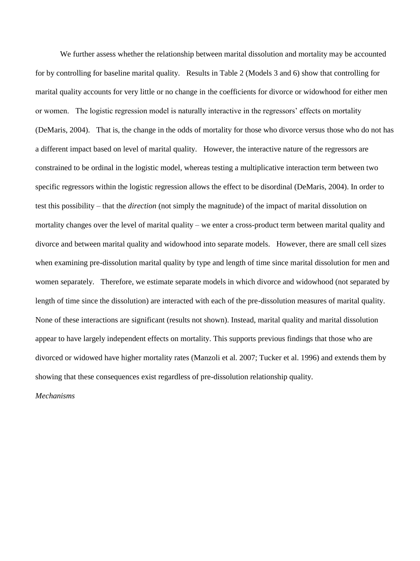We further assess whether the relationship between marital dissolution and mortality may be accounted for by controlling for baseline marital quality. Results in Table 2 (Models 3 and 6) show that controlling for marital quality accounts for very little or no change in the coefficients for divorce or widowhood for either men or women. The logistic regression model is naturally interactive in the regressors" effects on mortality (DeMaris, 2004). That is, the change in the odds of mortality for those who divorce versus those who do not has a different impact based on level of marital quality. However, the interactive nature of the regressors are constrained to be ordinal in the logistic model, whereas testing a multiplicative interaction term between two specific regressors within the logistic regression allows the effect to be disordinal (DeMaris, 2004). In order to test this possibility – that the *direction* (not simply the magnitude) of the impact of marital dissolution on mortality changes over the level of marital quality – we enter a cross-product term between marital quality and divorce and between marital quality and widowhood into separate models. However, there are small cell sizes when examining pre-dissolution marital quality by type and length of time since marital dissolution for men and women separately. Therefore, we estimate separate models in which divorce and widowhood (not separated by length of time since the dissolution) are interacted with each of the pre-dissolution measures of marital quality. None of these interactions are significant (results not shown). Instead, marital quality and marital dissolution appear to have largely independent effects on mortality. This supports previous findings that those who are divorced or widowed have higher mortality rates (Manzoli et al. 2007; Tucker et al. 1996) and extends them by showing that these consequences exist regardless of pre-dissolution relationship quality.

*Mechanisms*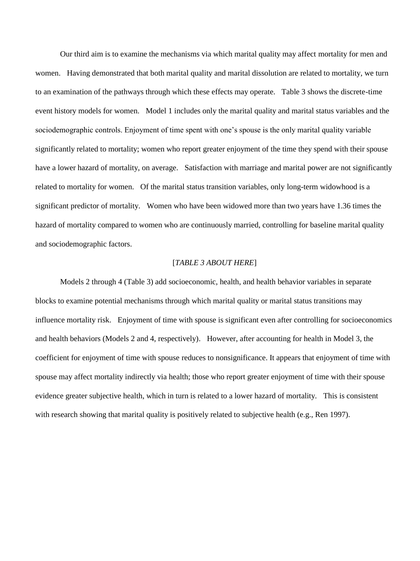Our third aim is to examine the mechanisms via which marital quality may affect mortality for men and women. Having demonstrated that both marital quality and marital dissolution are related to mortality, we turn to an examination of the pathways through which these effects may operate. Table 3 shows the discrete-time event history models for women. Model 1 includes only the marital quality and marital status variables and the sociodemographic controls. Enjoyment of time spent with one's spouse is the only marital quality variable significantly related to mortality; women who report greater enjoyment of the time they spend with their spouse have a lower hazard of mortality, on average. Satisfaction with marriage and marital power are not significantly related to mortality for women. Of the marital status transition variables, only long-term widowhood is a significant predictor of mortality. Women who have been widowed more than two years have 1.36 times the hazard of mortality compared to women who are continuously married, controlling for baseline marital quality and sociodemographic factors.

#### [*TABLE 3 ABOUT HERE*]

Models 2 through 4 (Table 3) add socioeconomic, health, and health behavior variables in separate blocks to examine potential mechanisms through which marital quality or marital status transitions may influence mortality risk. Enjoyment of time with spouse is significant even after controlling for socioeconomics and health behaviors (Models 2 and 4, respectively). However, after accounting for health in Model 3, the coefficient for enjoyment of time with spouse reduces to nonsignificance. It appears that enjoyment of time with spouse may affect mortality indirectly via health; those who report greater enjoyment of time with their spouse evidence greater subjective health, which in turn is related to a lower hazard of mortality. This is consistent with research showing that marital quality is positively related to subjective health (e.g., Ren 1997).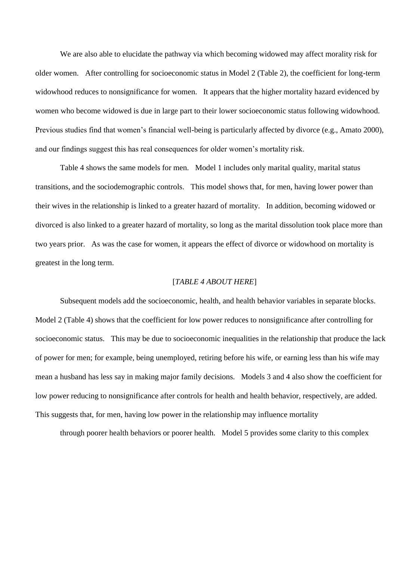We are also able to elucidate the pathway via which becoming widowed may affect morality risk for older women. After controlling for socioeconomic status in Model 2 (Table 2), the coefficient for long-term widowhood reduces to nonsignificance for women. It appears that the higher mortality hazard evidenced by women who become widowed is due in large part to their lower socioeconomic status following widowhood. Previous studies find that women's financial well-being is particularly affected by divorce (e.g., Amato 2000), and our findings suggest this has real consequences for older women"s mortality risk.

Table 4 shows the same models for men. Model 1 includes only marital quality, marital status transitions, and the sociodemographic controls. This model shows that, for men, having lower power than their wives in the relationship is linked to a greater hazard of mortality. In addition, becoming widowed or divorced is also linked to a greater hazard of mortality, so long as the marital dissolution took place more than two years prior. As was the case for women, it appears the effect of divorce or widowhood on mortality is greatest in the long term.

#### [*TABLE 4 ABOUT HERE*]

Subsequent models add the socioeconomic, health, and health behavior variables in separate blocks. Model 2 (Table 4) shows that the coefficient for low power reduces to nonsignificance after controlling for socioeconomic status. This may be due to socioeconomic inequalities in the relationship that produce the lack of power for men; for example, being unemployed, retiring before his wife, or earning less than his wife may mean a husband has less say in making major family decisions. Models 3 and 4 also show the coefficient for low power reducing to nonsignificance after controls for health and health behavior, respectively, are added. This suggests that, for men, having low power in the relationship may influence mortality

through poorer health behaviors or poorer health. Model 5 provides some clarity to this complex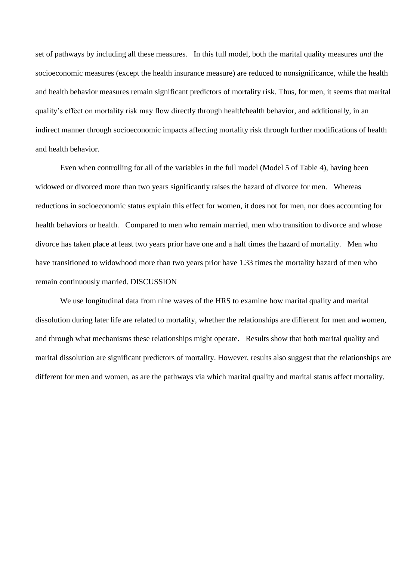set of pathways by including all these measures. In this full model, both the marital quality measures *and* the socioeconomic measures (except the health insurance measure) are reduced to nonsignificance, while the health and health behavior measures remain significant predictors of mortality risk. Thus, for men, it seems that marital quality"s effect on mortality risk may flow directly through health/health behavior, and additionally, in an indirect manner through socioeconomic impacts affecting mortality risk through further modifications of health and health behavior.

Even when controlling for all of the variables in the full model (Model 5 of Table 4), having been widowed or divorced more than two years significantly raises the hazard of divorce for men. Whereas reductions in socioeconomic status explain this effect for women, it does not for men, nor does accounting for health behaviors or health. Compared to men who remain married, men who transition to divorce and whose divorce has taken place at least two years prior have one and a half times the hazard of mortality. Men who have transitioned to widowhood more than two years prior have 1.33 times the mortality hazard of men who remain continuously married. DISCUSSION

We use longitudinal data from nine waves of the HRS to examine how marital quality and marital dissolution during later life are related to mortality, whether the relationships are different for men and women, and through what mechanisms these relationships might operate. Results show that both marital quality and marital dissolution are significant predictors of mortality. However, results also suggest that the relationships are different for men and women, as are the pathways via which marital quality and marital status affect mortality.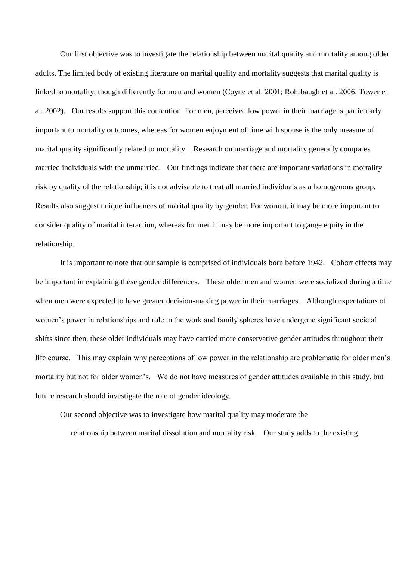Our first objective was to investigate the relationship between marital quality and mortality among older adults. The limited body of existing literature on marital quality and mortality suggests that marital quality is linked to mortality, though differently for men and women (Coyne et al. 2001; Rohrbaugh et al. 2006; Tower et al. 2002). Our results support this contention. For men, perceived low power in their marriage is particularly important to mortality outcomes, whereas for women enjoyment of time with spouse is the only measure of marital quality significantly related to mortality. Research on marriage and mortality generally compares married individuals with the unmarried. Our findings indicate that there are important variations in mortality risk by quality of the relationship; it is not advisable to treat all married individuals as a homogenous group. Results also suggest unique influences of marital quality by gender. For women, it may be more important to consider quality of marital interaction, whereas for men it may be more important to gauge equity in the relationship.

It is important to note that our sample is comprised of individuals born before 1942. Cohort effects may be important in explaining these gender differences. These older men and women were socialized during a time when men were expected to have greater decision-making power in their marriages. Although expectations of women"s power in relationships and role in the work and family spheres have undergone significant societal shifts since then, these older individuals may have carried more conservative gender attitudes throughout their life course. This may explain why perceptions of low power in the relationship are problematic for older men"s mortality but not for older women"s. We do not have measures of gender attitudes available in this study, but future research should investigate the role of gender ideology.

Our second objective was to investigate how marital quality may moderate the

relationship between marital dissolution and mortality risk. Our study adds to the existing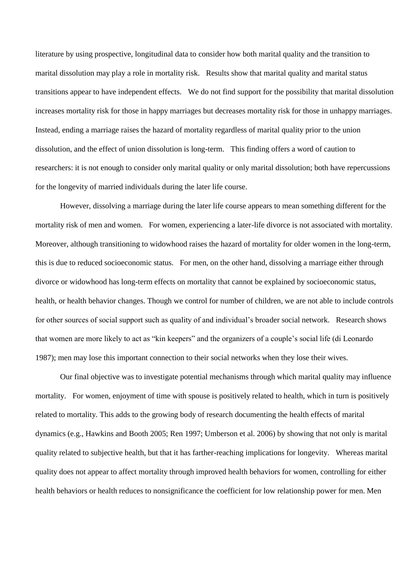literature by using prospective, longitudinal data to consider how both marital quality and the transition to marital dissolution may play a role in mortality risk. Results show that marital quality and marital status transitions appear to have independent effects. We do not find support for the possibility that marital dissolution increases mortality risk for those in happy marriages but decreases mortality risk for those in unhappy marriages. Instead, ending a marriage raises the hazard of mortality regardless of marital quality prior to the union dissolution, and the effect of union dissolution is long-term. This finding offers a word of caution to researchers: it is not enough to consider only marital quality or only marital dissolution; both have repercussions for the longevity of married individuals during the later life course.

However, dissolving a marriage during the later life course appears to mean something different for the mortality risk of men and women. For women, experiencing a later-life divorce is not associated with mortality. Moreover, although transitioning to widowhood raises the hazard of mortality for older women in the long-term, this is due to reduced socioeconomic status. For men, on the other hand, dissolving a marriage either through divorce or widowhood has long-term effects on mortality that cannot be explained by socioeconomic status, health, or health behavior changes. Though we control for number of children, we are not able to include controls for other sources of social support such as quality of and individual"s broader social network. Research shows that women are more likely to act as "kin keepers" and the organizers of a couple"s social life (di Leonardo 1987); men may lose this important connection to their social networks when they lose their wives.

Our final objective was to investigate potential mechanisms through which marital quality may influence mortality. For women, enjoyment of time with spouse is positively related to health, which in turn is positively related to mortality. This adds to the growing body of research documenting the health effects of marital dynamics (e.g., Hawkins and Booth 2005; Ren 1997; Umberson et al. 2006) by showing that not only is marital quality related to subjective health, but that it has farther-reaching implications for longevity. Whereas marital quality does not appear to affect mortality through improved health behaviors for women, controlling for either health behaviors or health reduces to nonsignificance the coefficient for low relationship power for men. Men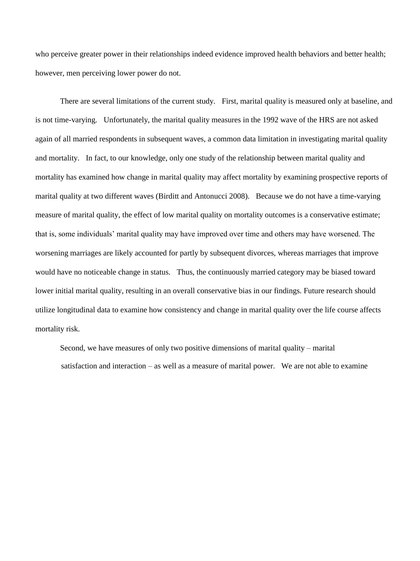who perceive greater power in their relationships indeed evidence improved health behaviors and better health; however, men perceiving lower power do not.

There are several limitations of the current study. First, marital quality is measured only at baseline, and is not time-varying. Unfortunately, the marital quality measures in the 1992 wave of the HRS are not asked again of all married respondents in subsequent waves, a common data limitation in investigating marital quality and mortality. In fact, to our knowledge, only one study of the relationship between marital quality and mortality has examined how change in marital quality may affect mortality by examining prospective reports of marital quality at two different waves (Birditt and Antonucci 2008). Because we do not have a time-varying measure of marital quality, the effect of low marital quality on mortality outcomes is a conservative estimate; that is, some individuals" marital quality may have improved over time and others may have worsened. The worsening marriages are likely accounted for partly by subsequent divorces, whereas marriages that improve would have no noticeable change in status. Thus, the continuously married category may be biased toward lower initial marital quality, resulting in an overall conservative bias in our findings. Future research should utilize longitudinal data to examine how consistency and change in marital quality over the life course affects mortality risk.

Second, we have measures of only two positive dimensions of marital quality – marital satisfaction and interaction – as well as a measure of marital power. We are not able to examine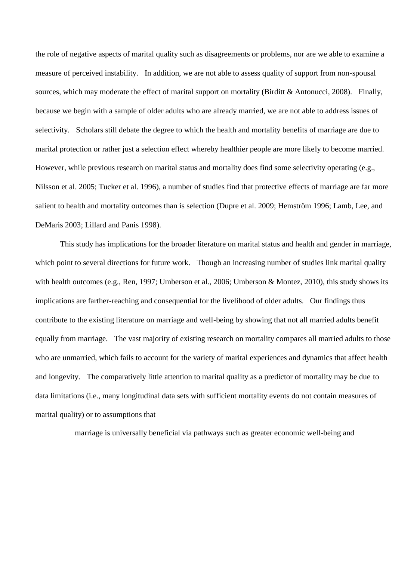the role of negative aspects of marital quality such as disagreements or problems, nor are we able to examine a measure of perceived instability. In addition, we are not able to assess quality of support from non-spousal sources, which may moderate the effect of marital support on mortality (Birditt & Antonucci, 2008). Finally, because we begin with a sample of older adults who are already married, we are not able to address issues of selectivity. Scholars still debate the degree to which the health and mortality benefits of marriage are due to marital protection or rather just a selection effect whereby healthier people are more likely to become married. However, while previous research on marital status and mortality does find some selectivity operating (e.g., Nilsson et al. 2005; Tucker et al. 1996), a number of studies find that protective effects of marriage are far more salient to health and mortality outcomes than is selection (Dupre et al. 2009; Hemström 1996; Lamb, Lee, and DeMaris 2003; Lillard and Panis 1998).

This study has implications for the broader literature on marital status and health and gender in marriage, which point to several directions for future work. Though an increasing number of studies link marital quality with health outcomes (e.g., Ren, 1997; Umberson et al., 2006; Umberson & Montez, 2010), this study shows its implications are farther-reaching and consequential for the livelihood of older adults. Our findings thus contribute to the existing literature on marriage and well-being by showing that not all married adults benefit equally from marriage. The vast majority of existing research on mortality compares all married adults to those who are unmarried, which fails to account for the variety of marital experiences and dynamics that affect health and longevity. The comparatively little attention to marital quality as a predictor of mortality may be due to data limitations (i.e., many longitudinal data sets with sufficient mortality events do not contain measures of marital quality) or to assumptions that

marriage is universally beneficial via pathways such as greater economic well-being and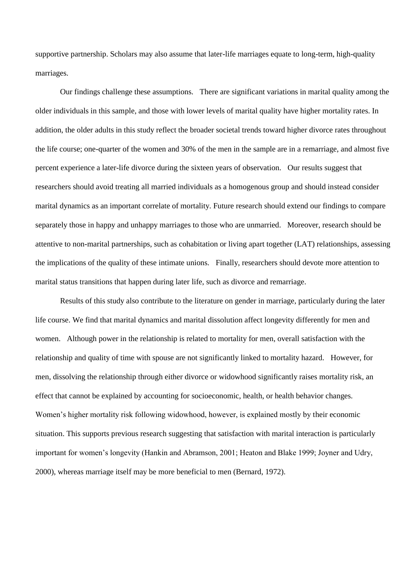supportive partnership. Scholars may also assume that later-life marriages equate to long-term, high-quality marriages.

Our findings challenge these assumptions. There are significant variations in marital quality among the older individuals in this sample, and those with lower levels of marital quality have higher mortality rates. In addition, the older adults in this study reflect the broader societal trends toward higher divorce rates throughout the life course; one-quarter of the women and 30% of the men in the sample are in a remarriage, and almost five percent experience a later-life divorce during the sixteen years of observation. Our results suggest that researchers should avoid treating all married individuals as a homogenous group and should instead consider marital dynamics as an important correlate of mortality. Future research should extend our findings to compare separately those in happy and unhappy marriages to those who are unmarried. Moreover, research should be attentive to non-marital partnerships, such as cohabitation or living apart together (LAT) relationships, assessing the implications of the quality of these intimate unions. Finally, researchers should devote more attention to marital status transitions that happen during later life, such as divorce and remarriage.

Results of this study also contribute to the literature on gender in marriage, particularly during the later life course. We find that marital dynamics and marital dissolution affect longevity differently for men and women. Although power in the relationship is related to mortality for men, overall satisfaction with the relationship and quality of time with spouse are not significantly linked to mortality hazard. However, for men, dissolving the relationship through either divorce or widowhood significantly raises mortality risk, an effect that cannot be explained by accounting for socioeconomic, health, or health behavior changes. Women"s higher mortality risk following widowhood, however, is explained mostly by their economic situation. This supports previous research suggesting that satisfaction with marital interaction is particularly important for women's longevity (Hankin and Abramson, 2001; Heaton and Blake 1999; Joyner and Udry, 2000), whereas marriage itself may be more beneficial to men (Bernard, 1972).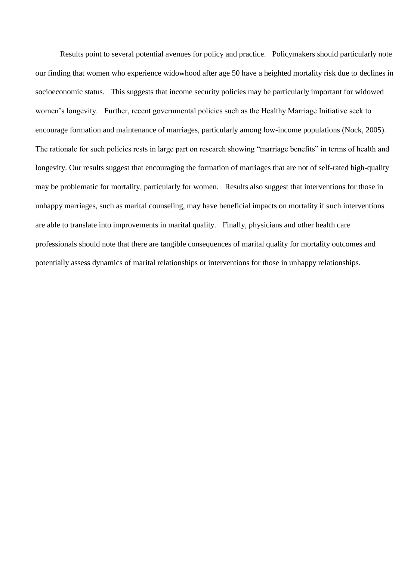Results point to several potential avenues for policy and practice. Policymakers should particularly note our finding that women who experience widowhood after age 50 have a heighted mortality risk due to declines in socioeconomic status. This suggests that income security policies may be particularly important for widowed women"s longevity. Further, recent governmental policies such as the Healthy Marriage Initiative seek to encourage formation and maintenance of marriages, particularly among low-income populations (Nock, 2005). The rationale for such policies rests in large part on research showing "marriage benefits" in terms of health and longevity. Our results suggest that encouraging the formation of marriages that are not of self-rated high-quality may be problematic for mortality, particularly for women. Results also suggest that interventions for those in unhappy marriages, such as marital counseling, may have beneficial impacts on mortality if such interventions are able to translate into improvements in marital quality. Finally, physicians and other health care professionals should note that there are tangible consequences of marital quality for mortality outcomes and potentially assess dynamics of marital relationships or interventions for those in unhappy relationships.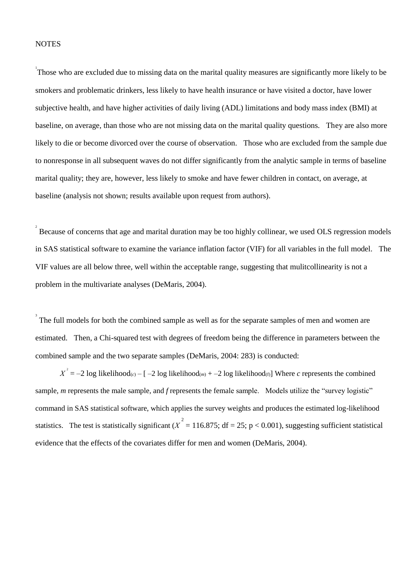#### **NOTES**

1 Those who are excluded due to missing data on the marital quality measures are significantly more likely to be smokers and problematic drinkers, less likely to have health insurance or have visited a doctor, have lower subjective health, and have higher activities of daily living (ADL) limitations and body mass index (BMI) at baseline, on average, than those who are not missing data on the marital quality questions. They are also more likely to die or become divorced over the course of observation. Those who are excluded from the sample due to nonresponse in all subsequent waves do not differ significantly from the analytic sample in terms of baseline marital quality; they are, however, less likely to smoke and have fewer children in contact, on average, at baseline (analysis not shown; results available upon request from authors).

Because of concerns that age and marital duration may be too highly collinear, we used OLS regression models in SAS statistical software to examine the variance inflation factor (VIF) for all variables in the full model. The VIF values are all below three, well within the acceptable range, suggesting that mulitcollinearity is not a problem in the multivariate analyses (DeMaris, 2004).

3 The full models for both the combined sample as well as for the separate samples of men and women are estimated. Then, a Chi-squared test with degrees of freedom being the difference in parameters between the combined sample and the two separate samples (DeMaris, 2004: 283) is conducted:

 $X^2 = -2 \log 2$  likelihood(*c*) – [ –2 log likelihood(*m*) + –2 log likelihood(*t*)] Where *c* represents the combined sample, *m* represents the male sample, and *f* represents the female sample. Models utilize the "survey logistic" command in SAS statistical software, which applies the survey weights and produces the estimated log-likelihood statistics. The test is statistically significant ( $\chi^2 = 116.875$ ; df = 25; p < 0.001), suggesting sufficient statistical evidence that the effects of the covariates differ for men and women (DeMaris, 2004).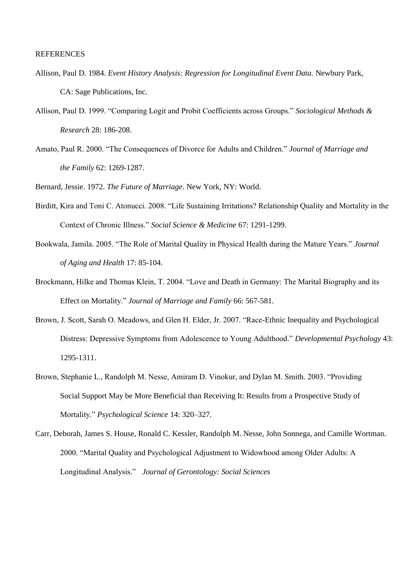#### **REFERENCES**

- Allison, Paul D. 1984. *Event History Analysis: Regression for Longitudinal Event Data.* Newbury Park, CA: Sage Publications, Inc.
- Allison, Paul D. 1999. "Comparing Logit and Probit Coefficients across Groups." *Sociological Methods & Research* 28: 186-208.
- Amato, Paul R. 2000. "The Consequences of Divorce for Adults and Children." *Journal of Marriage and the Family* 62: 1269-1287.

Bernard, Jessie. 1972. *The Future of Marriage*. New York, NY: World.

- Birditt, Kira and Toni C. Atonucci. 2008. "Life Sustaining Irritations? Relationship Quality and Mortality in the Context of Chronic Illness." *Social Science & Medicine* 67: 1291-1299.
- Bookwala, Jamila. 2005. "The Role of Marital Quality in Physical Health during the Mature Years." *Journal of Aging and Health* 17: 85-104.
- Brockmann, Hilke and Thomas Klein, T. 2004. "Love and Death in Germany: The Marital Biography and its Effect on Mortality." *Journal of Marriage and Family* 66: 567-581.
- Brown, J. Scott, Sarah O. Meadows, and Glen H. Elder, Jr. 2007. "Race-Ethnic Inequality and Psychological Distress: Depressive Symptoms from Adolescence to Young Adulthood." *Developmental Psychology* 43: 1295-1311.
- Brown, Stephanie L., Randolph M. Nesse, Amiram D. Vinokur, and Dylan M. Smith. 2003. "Providing Social Support May be More Beneficial than Receiving It: Results from a Prospective Study of Mortality." *Psychological Science* 14: 320–327.
- Carr, Deborah, James S. House, Ronald C. Kessler, Randolph M. Nesse, John Sonnega, and Camille Wortman. 2000. "Marital Quality and Psychological Adjustment to Widowhood among Older Adults: A Longitudinal Analysis." *Journal of Gerontology: Social Sciences*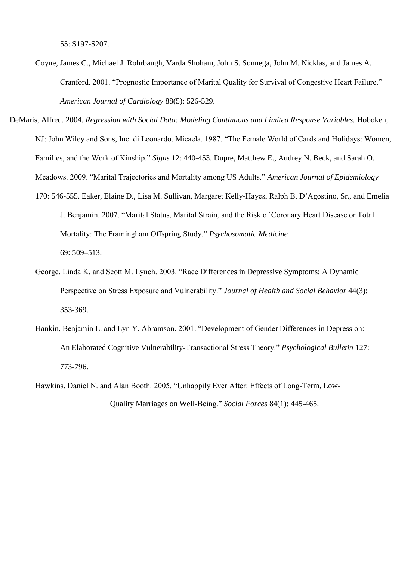55: S197-S207.

Coyne, James C., Michael J. Rohrbaugh, Varda Shoham, John S. Sonnega, John M. Nicklas, and James A. Cranford. 2001. "Prognostic Importance of Marital Quality for Survival of Congestive Heart Failure." *American Journal of Cardiology* 88(5): 526-529.

DeMaris, Alfred. 2004. *Regression with Social Data: Modeling Continuous and Limited Response Variables.* Hoboken, NJ: John Wiley and Sons, Inc. di Leonardo, Micaela. 1987. "The Female World of Cards and Holidays: Women, Families, and the Work of Kinship." *Signs* 12: 440-453. Dupre, Matthew E., Audrey N. Beck, and Sarah O. Meadows. 2009. "Marital Trajectories and Mortality among US Adults." *American Journal of Epidemiology*  170: 546-555. Eaker, Elaine D., Lisa M. Sullivan, Margaret Kelly-Hayes, Ralph B. D"Agostino, Sr., and Emelia J. Benjamin. 2007. "Marital Status, Marital Strain, and the Risk of Coronary Heart Disease or Total Mortality: The Framingham Offspring Study." *Psychosomatic Medicine*  69: 509–513.

- George, Linda K. and Scott M. Lynch. 2003. "Race Differences in Depressive Symptoms: A Dynamic Perspective on Stress Exposure and Vulnerability." *Journal of Health and Social Behavior* 44(3): 353-369.
- Hankin, Benjamin L. and Lyn Y. Abramson. 2001. "Development of Gender Differences in Depression: An Elaborated Cognitive Vulnerability-Transactional Stress Theory." *Psychological Bulletin* 127: 773-796.
- Hawkins, Daniel N. and Alan Booth. 2005. "Unhappily Ever After: Effects of Long-Term, Low-Quality Marriages on Well-Being." *Social Forces* 84(1): 445-465.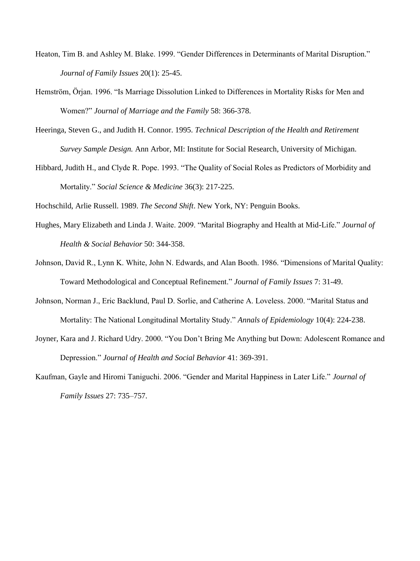- Heaton, Tim B. and Ashley M. Blake. 1999. "Gender Differences in Determinants of Marital Disruption." *Journal of Family Issues* 20(1): 25-45.
- Hemström, Örjan. 1996. "Is Marriage Dissolution Linked to Differences in Mortality Risks for Men and Women?" *Journal of Marriage and the Family* 58: 366-378.
- Heeringa, Steven G., and Judith H. Connor. 1995. *Technical Description of the Health and Retirement Survey Sample Design.* Ann Arbor, MI: Institute for Social Research, University of Michigan.
- Hibbard, Judith H., and Clyde R. Pope. 1993. "The Quality of Social Roles as Predictors of Morbidity and Mortality." *Social Science & Medicine* 36(3): 217-225.

Hochschild, Arlie Russell. 1989. *The Second Shift*. New York, NY: Penguin Books.

- Hughes, Mary Elizabeth and Linda J. Waite. 2009. "Marital Biography and Health at Mid-Life." *Journal of Health & Social Behavior* 50: 344-358.
- Johnson, David R., Lynn K. White, John N. Edwards, and Alan Booth. 1986. "Dimensions of Marital Quality: Toward Methodological and Conceptual Refinement." *Journal of Family Issues* 7: 31-49.
- Johnson, Norman J., Eric Backlund, Paul D. Sorlie, and Catherine A. Loveless. 2000. "Marital Status and Mortality: The National Longitudinal Mortality Study." *Annals of Epidemiology* 10(4): 224-238.
- Joyner, Kara and J. Richard Udry. 2000. "You Don"t Bring Me Anything but Down: Adolescent Romance and Depression." *Journal of Health and Social Behavior* 41: 369-391.
- Kaufman, Gayle and Hiromi Taniguchi. 2006. "Gender and Marital Happiness in Later Life." *Journal of Family Issues* 27: 735–757.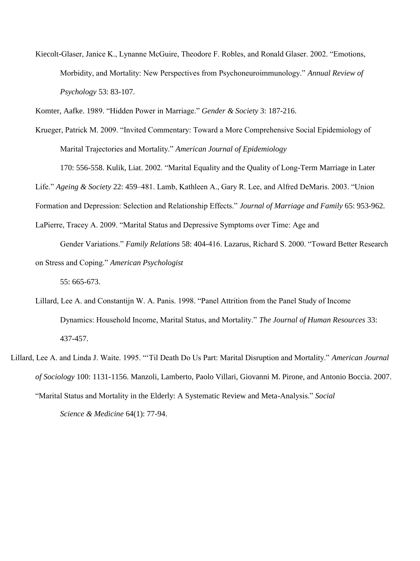Kiecolt-Glaser, Janice K., Lynanne McGuire, Theodore F. Robles, and Ronald Glaser. 2002. "Emotions, Morbidity, and Mortality: New Perspectives from Psychoneuroimmunology." *Annual Review of Psychology* 53: 83-107.

Komter, Aafke. 1989. "Hidden Power in Marriage." *Gender & Society* 3: 187-216.

Krueger, Patrick M. 2009. "Invited Commentary: Toward a More Comprehensive Social Epidemiology of Marital Trajectories and Mortality." *American Journal of Epidemiology* 

170: 556-558. Kulik, Liat. 2002. "Marital Equality and the Quality of Long-Term Marriage in Later Life." *Ageing & Society* 22: 459–481. Lamb, Kathleen A., Gary R. Lee, and Alfred DeMaris. 2003. "Union Formation and Depression: Selection and Relationship Effects." *Journal of Marriage and Family* 65: 953-962. LaPierre, Tracey A. 2009. "Marital Status and Depressive Symptoms over Time: Age and

Gender Variations." *Family Relations* 58: 404-416. Lazarus, Richard S. 2000. "Toward Better Research on Stress and Coping." *American Psychologist*

55: 665-673.

- Lillard, Lee A. and Constantijn W. A. Panis. 1998. "Panel Attrition from the Panel Study of Income Dynamics: Household Income, Marital Status, and Mortality." *The Journal of Human Resources* 33: 437-457.
- Lillard, Lee A. and Linda J. Waite. 1995. ""Til Death Do Us Part: Marital Disruption and Mortality." *American Journal of Sociology* 100: 1131-1156. Manzoli, Lamberto, Paolo Villari, Giovanni M. Pirone, and Antonio Boccia. 2007. "Marital Status and Mortality in the Elderly: A Systematic Review and Meta-Analysis." *Social Science & Medicine* 64(1): 77-94.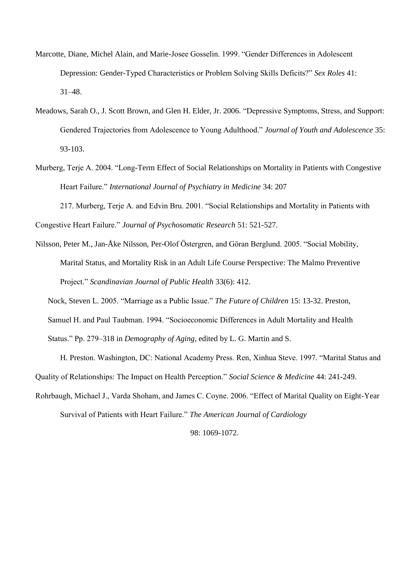- Marcotte, Diane, Michel Alain, and Marie-Josee Gosselin. 1999. "Gender Differences in Adolescent Depression: Gender-Typed Characteristics or Problem Solving Skills Deficits?" *Sex Roles* 41: 31–48.
- Meadows, Sarah O., J. Scott Brown, and Glen H. Elder, Jr. 2006. "Depressive Symptoms, Stress, and Support: Gendered Trajectories from Adolescence to Young Adulthood." *Journal of Youth and Adolescence* 35: 93-103.
- Murberg, Terje A. 2004. "Long-Term Effect of Social Relationships on Mortality in Patients with Congestive Heart Failure." *International Journal of Psychiatry in Medicine* 34: 207

217. Murberg, Terje A. and Edvin Bru. 2001. "Social Relationships and Mortality in Patients with Congestive Heart Failure." *Journal of Psychosomatic Research* 51: 521-527.

Nilsson, Peter M., Jan-Åke Nilsson, Per-Olof Östergren, and Göran Berglund. 2005. "Social Mobility, Marital Status, and Mortality Risk in an Adult Life Course Perspective: The Malmo Preventive Project." *Scandinavian Journal of Public Health* 33(6): 412.

Nock, Steven L. 2005. "Marriage as a Public Issue." *The Future of Children* 15: 13-32. Preston,

Samuel H. and Paul Taubman. 1994. "Socioeconomic Differences in Adult Mortality and Health

Status." Pp. 279–318 in *Demography of Aging*, edited by L. G. Martin and S.

H. Preston. Washington, DC: National Academy Press. Ren, Xinhua Steve. 1997. "Marital Status and Quality of Relationships: The Impact on Health Perception." *Social Science & Medicine* 44: 241-249.

Rohrbaugh, Michael J., Varda Shoham, and James C. Coyne. 2006. "Effect of Marital Quality on Eight-Year

Survival of Patients with Heart Failure." *The American Journal of Cardiology* 

98: 1069-1072.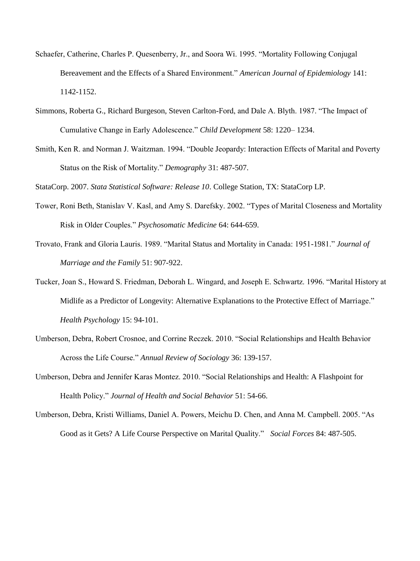- Schaefer, Catherine, Charles P. Quesenberry, Jr., and Soora Wi. 1995. "Mortality Following Conjugal Bereavement and the Effects of a Shared Environment." *American Journal of Epidemiology* 141: 1142-1152.
- Simmons, Roberta G., Richard Burgeson, Steven Carlton-Ford, and Dale A. Blyth. 1987. "The Impact of Cumulative Change in Early Adolescence." *Child Development* 58: 1220– 1234.
- Smith, Ken R. and Norman J. Waitzman. 1994. "Double Jeopardy: Interaction Effects of Marital and Poverty Status on the Risk of Mortality." *Demography* 31: 487-507.

StataCorp. 2007. *Stata Statistical Software: Release 10*. College Station, TX: StataCorp LP.

- Tower, Roni Beth, Stanislav V. Kasl, and Amy S. Darefsky. 2002. "Types of Marital Closeness and Mortality Risk in Older Couples." *Psychosomatic Medicine* 64: 644-659.
- Trovato, Frank and Gloria Lauris. 1989. "Marital Status and Mortality in Canada: 1951-1981." *Journal of Marriage and the Family* 51: 907-922.
- Tucker, Joan S., Howard S. Friedman, Deborah L. Wingard, and Joseph E. Schwartz. 1996. "Marital History at Midlife as a Predictor of Longevity: Alternative Explanations to the Protective Effect of Marriage." *Health Psychology* 15: 94-101.
- Umberson, Debra, Robert Crosnoe, and Corrine Reczek. 2010. "Social Relationships and Health Behavior Across the Life Course." *Annual Review of Sociology* 36: 139-157.
- Umberson, Debra and Jennifer Karas Montez. 2010. "Social Relationships and Health: A Flashpoint for Health Policy." *Journal of Health and Social Behavior* 51: 54-66.
- Umberson, Debra, Kristi Williams, Daniel A. Powers, Meichu D. Chen, and Anna M. Campbell. 2005. "As Good as it Gets? A Life Course Perspective on Marital Quality." *Social Forces* 84: 487-505.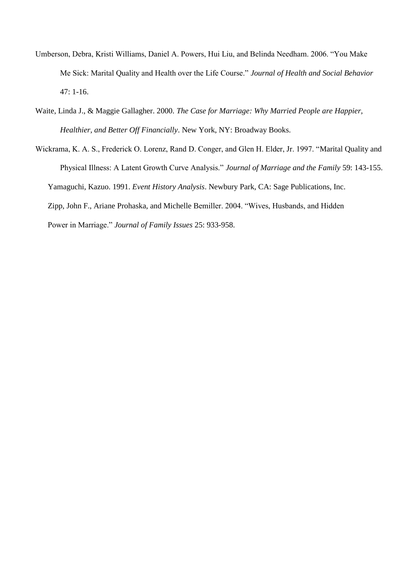- Umberson, Debra, Kristi Williams, Daniel A. Powers, Hui Liu, and Belinda Needham. 2006. "You Make Me Sick: Marital Quality and Health over the Life Course." *Journal of Health and Social Behavior*  47: 1-16.
- Waite, Linda J., & Maggie Gallagher. 2000. *The Case for Marriage: Why Married People are Happier, Healthier, and Better Off Financially*. New York, NY: Broadway Books.
- Wickrama, K. A. S., Frederick O. Lorenz, Rand D. Conger, and Glen H. Elder, Jr. 1997. "Marital Quality and Physical Illness: A Latent Growth Curve Analysis." *Journal of Marriage and the Family* 59: 143-155. Yamaguchi, Kazuo. 1991. *Event History Analysis*. Newbury Park, CA: Sage Publications, Inc. Zipp, John F., Ariane Prohaska, and Michelle Bemiller. 2004. "Wives, Husbands, and Hidden Power in Marriage." *Journal of Family Issues* 25: 933-958.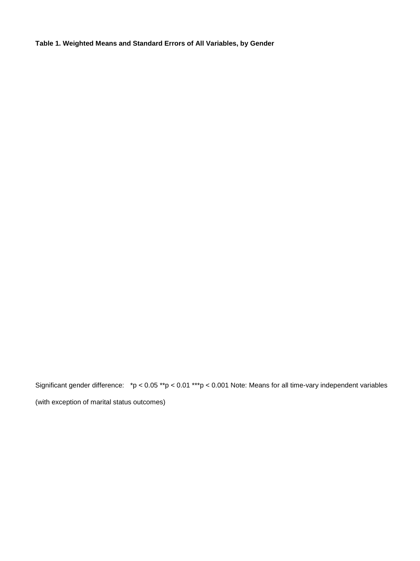**Table 1. Weighted Means and Standard Errors of All Variables, by Gender** 

Significant gender difference: \*p < 0.05 \*\*p < 0.01 \*\*\*p < 0.001 Note: Means for all time-vary independent variables (with exception of marital status outcomes)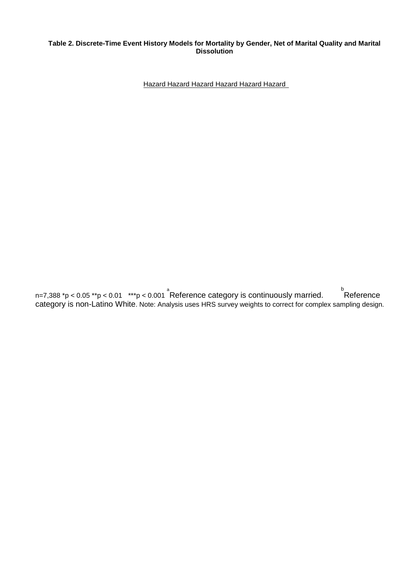#### **Table 2. Discrete-Time Event History Models for Mortality by Gender, Net of Marital Quality and Marital Dissolution**

Hazard Hazard Hazard Hazard Hazard Hazard

n=7,388 \*p < 0.05 \*\*p < 0.01 \*\*\*p < 0.001 a Reference category is continuously married. Reference  $b$ Reference category is non-Latino White. Note: Analysis uses HRS survey weights to correct for complex sampling design.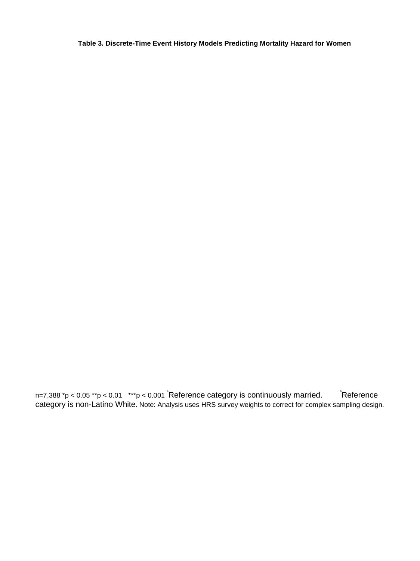**Table 3. Discrete-Time Event History Models Predicting Mortality Hazard for Women** 

n=7,388 \*p < 0.05 \*\*p < 0.01 \*\*\*p < 0.001 <sup>\*</sup>Reference category is continuously married. black freference category is non-Latino White. Note: Analysis uses HRS survey weights to correct for complex sampling design.